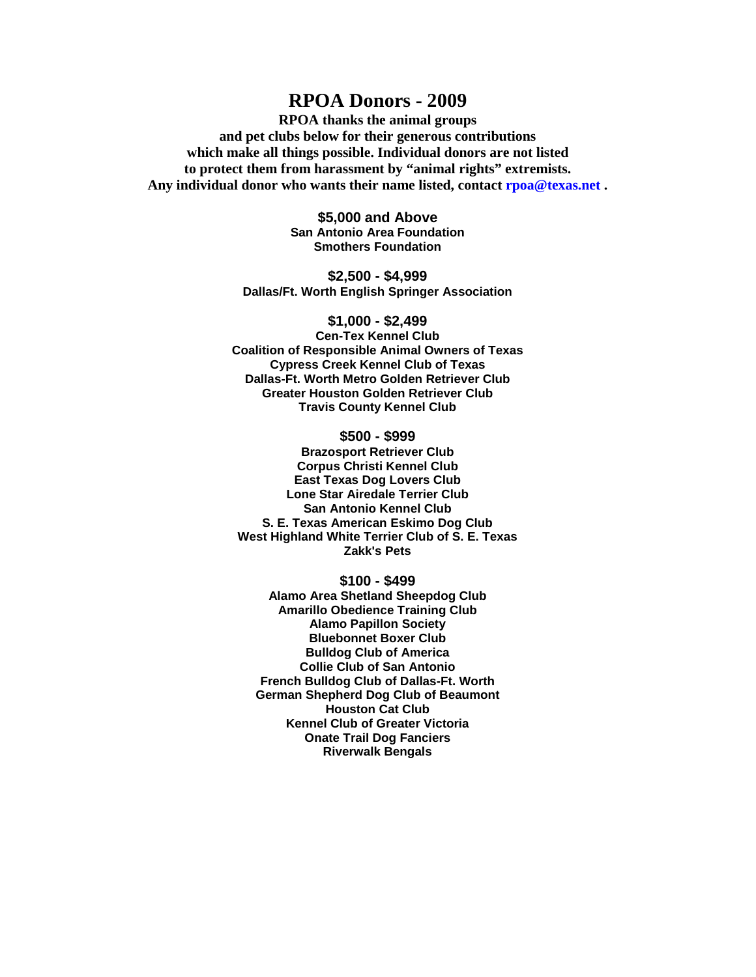## **RPOA Donors - 2009**

**RPOA thanks the animal groups and pet clubs below for their generous contributions which make all things possible. Individual donors are not listed to protect them from harassment by "animal rights" extremists. Any individual donor who wants their name listed, contact rpoa@texas.net .**

> **\$5,000 and Above San Antonio Area Foundation Smothers Foundation**

**\$2,500 - \$4,999 Dallas/Ft. Worth English Springer Association**

**\$1,000 - \$2,499 Cen-Tex Kennel Club Coalition of Responsible Animal Owners of Texas Cypress Creek Kennel Club of Texas Dallas-Ft. Worth Metro Golden Retriever Club Greater Houston Golden Retriever Club Travis County Kennel Club**

## **\$500 - \$999**

**Brazosport Retriever Club Corpus Christi Kennel Club East Texas Dog Lovers Club Lone Star Airedale Terrier Club San Antonio Kennel Club S. E. Texas American Eskimo Dog Club West Highland White Terrier Club of S. E. Texas Zakk's Pets**

## **\$100 - \$499**

**Alamo Area Shetland Sheepdog Club Amarillo Obedience Training Club Alamo Papillon Society Bluebonnet Boxer Club Bulldog Club of America Collie Club of San Antonio French Bulldog Club of Dallas-Ft. Worth German Shepherd Dog Club of Beaumont Houston Cat Club Kennel Club of Greater Victoria Onate Trail Dog Fanciers Riverwalk Bengals**